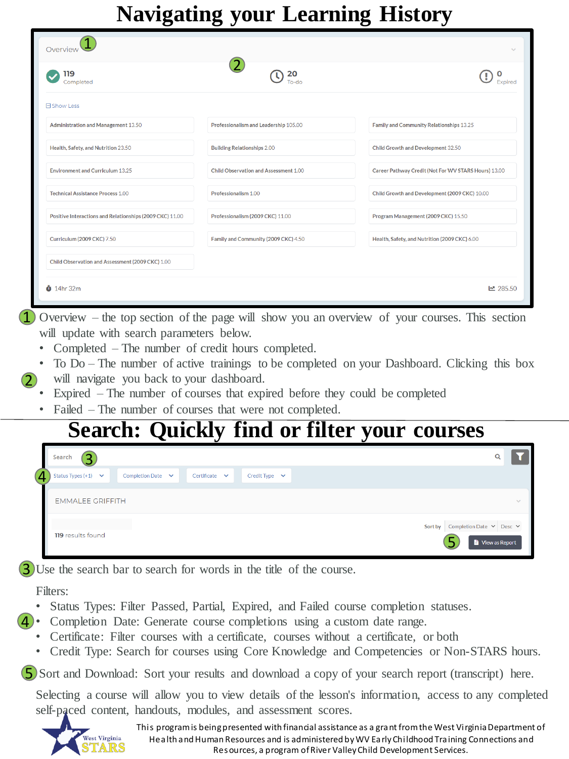## **Navigating your Learning History**

| ີ                                                        | ັັ                                    | ີ<br>$\tilde{\phantom{a}}$                           |
|----------------------------------------------------------|---------------------------------------|------------------------------------------------------|
| Overview                                                 |                                       | $\checkmark$                                         |
| 119<br>Completed                                         | 20                                    |                                                      |
| <b>E</b> Show Less                                       |                                       |                                                      |
| <b>Administration and Management 13.50</b>               | Professionalism and Leadership 105.00 | Family and Community Relationships 13.25             |
| Health, Safety, and Nutrition 23.50                      | <b>Building Relationships 2.00</b>    | Child Growth and Development 32.50                   |
| <b>Environment and Curriculum 13.25</b>                  | Child Observation and Assessment 1.00 | Career Pathway Credit (Not For WV STARS Hours) 13.00 |
| <b>Technical Assistance Process 1.00</b>                 | Professionalism 1.00                  | Child Growth and Development (2009 CKC) 10.00        |
| Positive Interactions and Relationships (2009 CKC) 11.00 | Professionalism (2009 CKC) 11.00      | Program Management (2009 CKC) 15.50                  |
| <b>Curriculum (2009 CKC) 7.50</b>                        | Family and Community (2009 CKC) 4.50  | Health, Safety, and Nutrition (2009 CKC) 6.00        |
| Child Observation and Assessment (2009 CKC) 1.00         |                                       |                                                      |
| $\ddot{\bullet}$ 14hr 32m                                |                                       | ■ 285.50                                             |

1 Overview – the top section of the page will show you an overview of your courses. This section will update with search parameters below.

- Completed The number of credit hours completed.
- To Do The number of active trainings to be completed on your Dashboard. Clicking this box
- 2 will navigate you back to your dashboard.
	- Expired The number of courses that expired before they could be completed
	- Failed The number of courses that were not completed.

## **Search: Quickly find or filter your courses**

|   | $\mathbf \overline 3$<br>Search                                                                           | Q                                                               |
|---|-----------------------------------------------------------------------------------------------------------|-----------------------------------------------------------------|
| 4 | Status Types $(+1)$ $\vee$<br>Completion Date $\vee$<br>Certificate<br>Credit Type $\vee$<br>$\checkmark$ |                                                                 |
|   | <b>EMMALEE GRIFFITH</b>                                                                                   | $\sim$                                                          |
|   | <b>119</b> results found                                                                                  | Completion Date $\vee$ Desc $\vee$<br>Sort by<br>View as Report |

3) Use the search bar to search for words in the title of the course.

Filters:

- Status Types: Filter Passed, Partial, Expired, and Failed course completion statuses.
- Completion Date: Generate course completions using a custom date range. 4
	- Certificate: Filter courses with a certificate, courses without a certificate, or both
	- Credit Type: Search for courses using Core Knowledge and Competencies or Non-STARS hours.

5 Sort and Download: Sort your results and download a copy of your search report (transcript) here.

Selecting a course will allow you to view details of the lesson's information, access to any completed self-paced content, handouts, modules, and assessment scores.



This program is being presented with financial assistance as a grant from the West Virginia Department of Health and Human Resources and is administered by WV Early Childhood Training Connections and Resources, a program of River Valley Child Development Services.